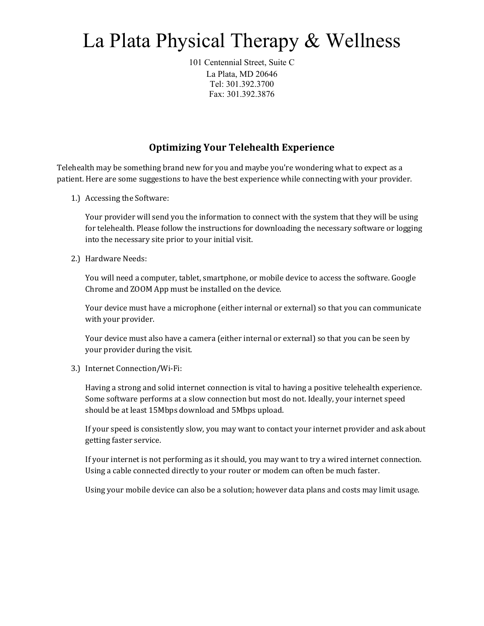## La Plata Physical Therapy & Wellness

101 Centennial Street, Suite C La Plata, MD 20646 Tel: 301.392.3700 Fax: 301.392.3876

## **Optimizing Your Telehealth Experience**

Telehealth may be something brand new for you and maybe you're wondering what to expect as a patient. Here are some suggestions to have the best experience while connecting with your provider.

1.) Accessing the Software:

Your provider will send you the information to connect with the system that they will be using for telehealth. Please follow the instructions for downloading the necessary software or logging into the necessary site prior to your initial visit.

2.) Hardware Needs:

You will need a computer, tablet, smartphone, or mobile device to access the software. Google Chrome and ZOOM App must be installed on the device.

Your device must have a microphone (either internal or external) so that you can communicate with your provider.

Your device must also have a camera (either internal or external) so that you can be seen by your provider during the visit.

3.) Internet Connection/Wi-Fi:

Having a strong and solid internet connection is vital to having a positive telehealth experience. Some software performs at a slow connection but most do not. Ideally, your internet speed should be at least 15Mbps download and 5Mbps upload.

If your speed is consistently slow, you may want to contact your internet provider and ask about getting faster service.

If your internet is not performing as it should, you may want to try a wired internet connection. Using a cable connected directly to your router or modem can often be much faster.

Using your mobile device can also be a solution; however data plans and costs may limit usage.